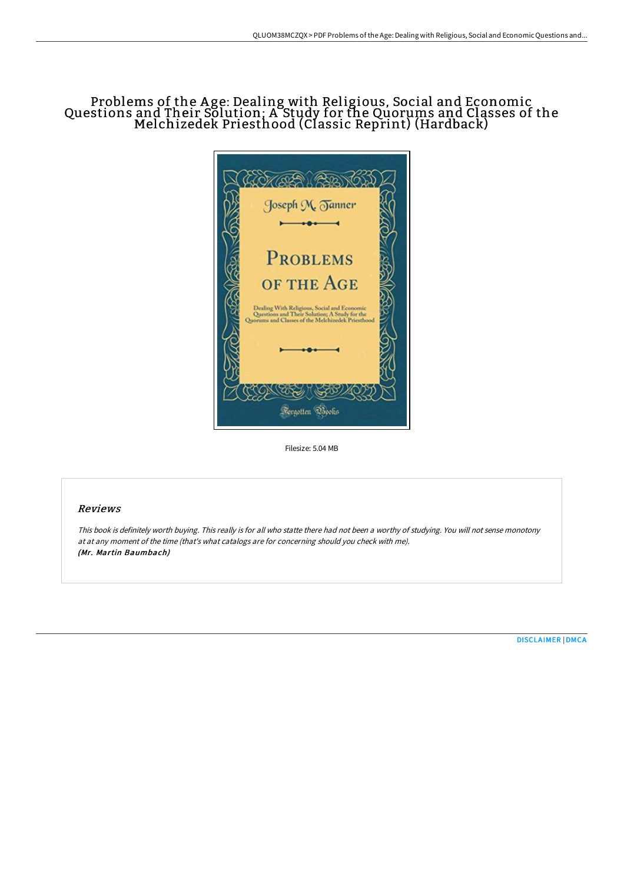## Problems of the A ge: Dealing with Religious, Social and Economic Questions and Their Solution; A Study for the Quorums and Classes of the Melchizedek Priesthood (Classic Reprint) (Hardback)



Filesize: 5.04 MB

## Reviews

This book is definitely worth buying. This really is for all who statte there had not been <sup>a</sup> worthy of studying. You will not sense monotony at at any moment of the time (that's what catalogs are for concerning should you check with me). (Mr. Martin Baumbach)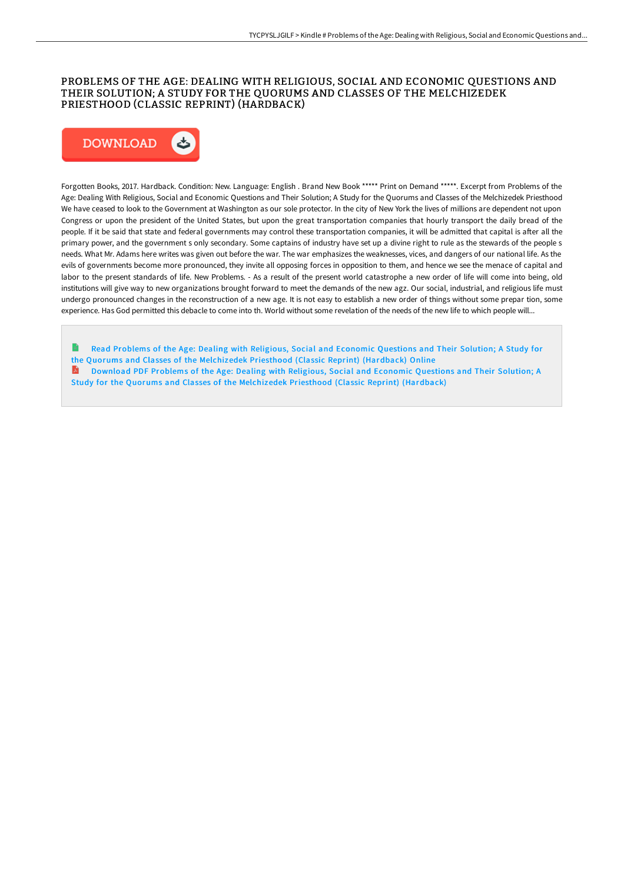### PROBLEMS OF THE AGE: DEALING WITH RELIGIOUS, SOCIAL AND ECONOMIC QUESTIONS AND THEIR SOLUTION; A STUDY FOR THE QUORUMS AND CLASSES OF THE MELCHIZEDEK PRIESTHOOD (CLASSIC REPRINT) (HARDBACK)



Forgotten Books, 2017. Hardback. Condition: New. Language: English . Brand New Book \*\*\*\*\* Print on Demand \*\*\*\*\*. Excerpt from Problems of the Age: Dealing With Religious, Social and Economic Questions and Their Solution; A Study for the Quorums and Classes of the Melchizedek Priesthood We have ceased to look to the Government at Washington as our sole protector. In the city of New York the lives of millions are dependent not upon Congress or upon the president of the United States, but upon the great transportation companies that hourly transport the daily bread of the people. If it be said that state and federal governments may control these transportation companies, it will be admitted that capital is after all the primary power, and the government s only secondary. Some captains of industry have set up a divine right to rule as the stewards of the people s needs. What Mr. Adams here writes was given out before the war. The war emphasizes the weaknesses, vices, and dangers of our national life. As the evils of governments become more pronounced, they invite all opposing forces in opposition to them, and hence we see the menace of capital and labor to the present standards of life. New Problems. - As a result of the present world catastrophe a new order of life will come into being, old institutions will give way to new organizations brought forward to meet the demands of the new agz. Our social, industrial, and religious life must undergo pronounced changes in the reconstruction of a new age. It is not easy to establish a new order of things without some prepar tion, some experience. Has God permitted this debacle to come into th. World without some revelation of the needs of the new life to which people will...

- Read Problems of the Age: Dealing with Religious, Social and Economic Questions and Their Solution; A Study for the Quorums and Classes of the [Melchizedek](http://techno-pub.tech/problems-of-the-age-dealing-with-religious-socia-1.html) Priesthood (Classic Reprint) (Hardback) Online Download PDF Problems of the Age: Dealing with Religious, Social and Economic Questions and Their Solution; A
- Study for the Quorums and Classes of the [Melchizedek](http://techno-pub.tech/problems-of-the-age-dealing-with-religious-socia-1.html) Priesthood (Classic Reprint) (Hardback)